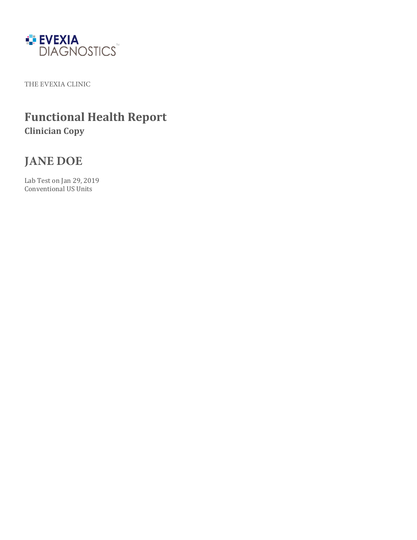

THE EVEXIA CLINIC

# **Functional Health Report Clinician Copy**

# **JANE DOE**

Lab Test on Jan 29, 2019 Conventional US Units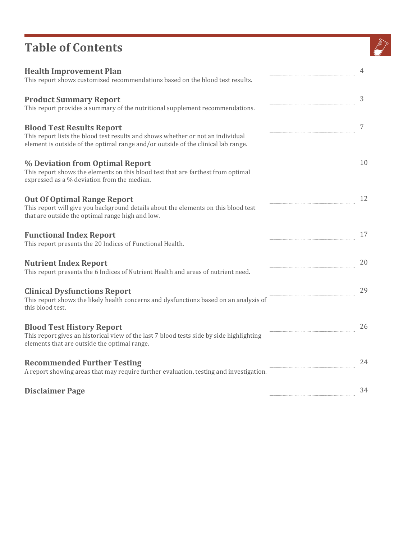# **Table of Contents**



| <b>Health Improvement Plan</b><br>This report shows customized recommendations based on the blood test results.                                                                                          | $\overline{4}$ |
|----------------------------------------------------------------------------------------------------------------------------------------------------------------------------------------------------------|----------------|
| <b>Product Summary Report</b><br>This report provides a summary of the nutritional supplement recommendations.                                                                                           | 3              |
| <b>Blood Test Results Report</b><br>This report lists the blood test results and shows whether or not an individual<br>element is outside of the optimal range and/or outside of the clinical lab range. | 7              |
| % Deviation from Optimal Report<br>This report shows the elements on this blood test that are farthest from optimal<br>expressed as a % deviation from the median.                                       | 10             |
| <b>Out Of Optimal Range Report</b><br>This report will give you background details about the elements on this blood test<br>that are outside the optimal range high and low.                             | 12             |
| <b>Functional Index Report</b><br>This report presents the 20 Indices of Functional Health.                                                                                                              | 17             |
| <b>Nutrient Index Report</b><br>This report presents the 6 Indices of Nutrient Health and areas of nutrient need.                                                                                        | 20             |
| <b>Clinical Dysfunctions Report</b><br>This report shows the likely health concerns and dysfunctions based on an analysis of<br>this blood test.                                                         | 29             |
| <b>Blood Test History Report</b><br>This report gives an historical view of the last 7 blood tests side by side highlighting<br>elements that are outside the optimal range.                             | 26             |
| <b>Recommended Further Testing</b><br>A report showing areas that may require further evaluation, testing and investigation.                                                                             | 24             |
| <b>Disclaimer Page</b>                                                                                                                                                                                   | 34             |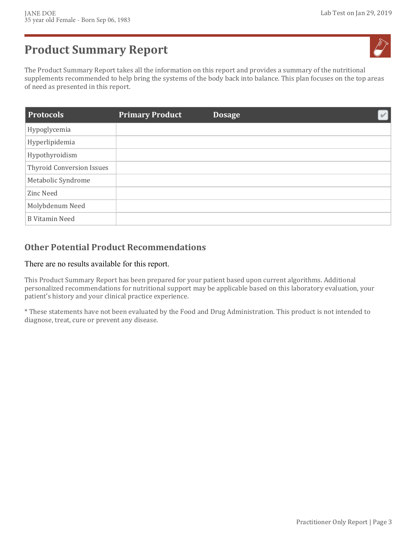# **Product Summary Report**



The Product Summary Report takes all the information on this report and provides a summary of the nutritional supplements recommended to help bring the systems of the body back into balance. This plan focuses on the top areas of need as presented in this report.

# **Other Potential Product Recommendations**

# There are no results available for this report.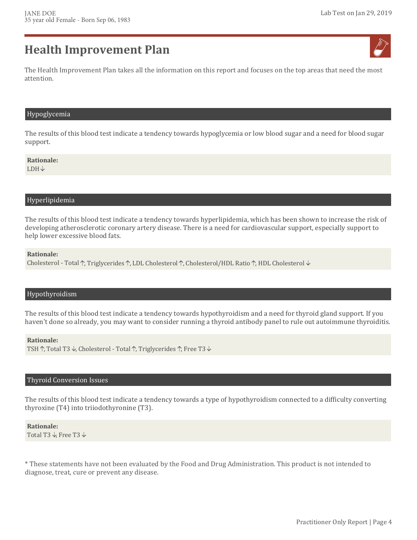# **Health Improvement Plan**



The Health Improvement Plan takes all the information on this report and focuses on the top areas that need the most attention.

# Hypoglycemia

The results of this blood test indicate a tendency towards hypoglycemia or low blood sugar and a need for blood sugar support.

# **Rationale:**

LDH

# Hyperlipidemia

The results of this blood test indicate a tendency towards hyperlipidemia, which has been shown to increase the risk of developing atherosclerotic coronary artery disease. There is a need for cardiovascular support, especially support to help lower excessive blood fats. The results of this blood test initiate a tententy divarias hyperhypotential, when this open statem when the product of the Food and Drug Ademosite binding achieved by the Food and Drug Check and the Food and Drug Check Ch

#### **Rationale:**

Cholesterol - Total T, Triglycerides T, LDL Cholesterol T, Cholesterol/HDL Ratio T, HDL Cholesterol  $\downarrow$ 

# Hypothyroidism

The results of this blood test indicate a tendency towards hypothyroidism and a need for thyroid gland support. If you haven't done so already, you may want to consider running a thyroid antibody panel to rule out autoimmune thyroiditis.

#### **Rationale:**

TSH  $\uparrow$ , Total T3  $\downarrow$ , Cholesterol - Total  $\uparrow$ , Triglycerides  $\uparrow$ , Free T3  $\downarrow$ 

# Thyroid Conversion Issues

The results of this blood test indicate a tendency towards a type of hypothyroidism connected to a difficulty converting thyroxine (T4) into triiodothyronine (T3).

**Rationale:** Total T3  $\downarrow$ , Free T3  $\downarrow$ 

diagnose, treat, cure or prevent any disease.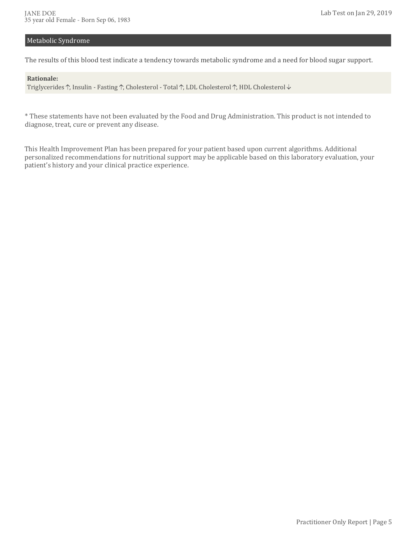# Metabolic Syndrome

The results of this blood test indicate a tendency towards metabolic syndrome and a need for blood sugar support.

**Rationale:**

Triglycerides  $\uparrow$ , Insulin - Fasting  $\uparrow$ , Cholesterol - Total  $\uparrow$ , LDL Cholesterol  $\uparrow$ , HDL Cholesterol  $\downarrow$ 

diagnose, treat, cure or prevent any disease.

This Feath Islam and Fermion Sep 06, 1983<br>
The results of this blood test indicate a tendency towards metabolic syndrome and a need for blood sugar support.<br> **Rationale:**<br>
Triglycerides  $\uparrow$ , Insulin - Fasting  $\uparrow$ , Cho This Health Improvement Plan has been prepared for your patient based upon current algorithms. Additional personalized recommendations for nutritional support may be applicable based on this laboratory evaluation, your patient's history and your clinical practice experience.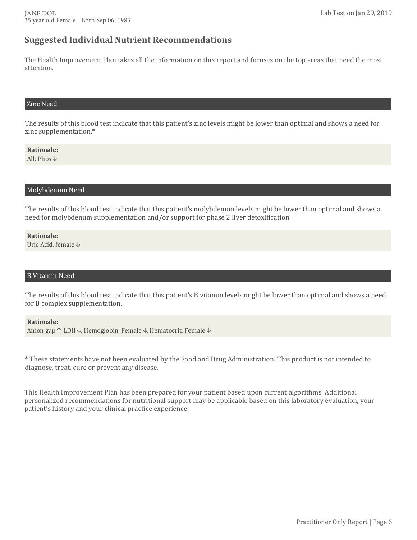# **Suggested Individual Nutrient Recommendations**

The Health Improvement Plan takes all the information on this report and focuses on the top areas that need the most attention.

### Zinc Need

The results of this blood test indicate that this patient's zinc levels might be lower than optimal and shows a need for zinc supplementation.\*

**Rationale:** Alk Phos  $\downarrow$ 

#### Molybdenum Need

The results of this blood test indicate that this patient's molybdenum levels might be lower than optimal and shows a need for molybdenum supplementation and/or support for phase 2 liver detoxification.

**Rationale:** Uric Acid, female ↓

# B Vitamin Need

The results of this blood test indicate that this patient's B vitamin levels might be lower than optimal and shows a need for B complex supplementation.

#### **Rationale:**

Anion gap  $\uparrow$ , LDH  $\downarrow$ , Hemoglobin, Female  $\downarrow$ , Hematocrit, Female  $\downarrow$ 

diagnose, treat, cure or prevent any disease.

The results of this blood test indicate that this patient's zinc levels might be lower than optimal and shows a need for Rationate:<br>
Alt Phos 4<br>
Alt Phos 4<br>
Alt Phos 4<br>
Alt Phos 4<br>
Alt Phos 16 of this blood test indicate This Health Improvement Plan has been prepared for your patient based upon current algorithms. Additional personalized recommendations for nutritional support may be applicable based on this laboratory evaluation, your patient's history and your clinical practice experience.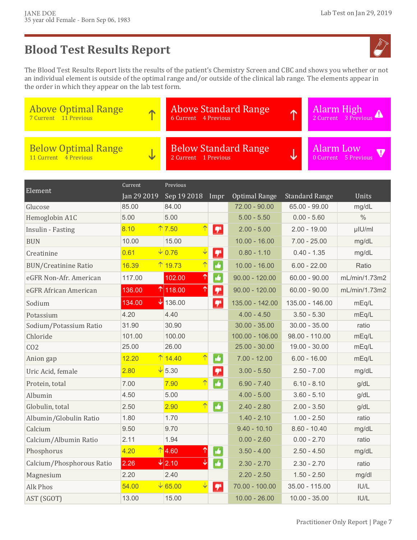# **Blood Test Results Report**



The Blood Test Results Report lists the results of the patient's Chemistry Screen and CBC and shows you whether or not an individual element is outside of the optimal range and/or outside of the clinical lab range. The elements appear in the order in which they appear on the lab test form.

| <b>Above Optimal Range</b><br>7 Current 11 Previous | 本                      | 6 Current 4 Previous    |                                | <b>Above Standard Range</b> | $\uparrow$ |                       | Alarm High<br>▲<br>2 Current 3 Previous                      |
|-----------------------------------------------------|------------------------|-------------------------|--------------------------------|-----------------------------|------------|-----------------------|--------------------------------------------------------------|
| <b>Below Optimal Range</b><br>11 Current 4 Previous | $\downarrow$           | 2 Current 1 Previous    |                                | <b>Below Standard Range</b> | п<br>↓     |                       | Alarm Low<br>$\overline{\mathbf{v}}$<br>0 Current 5 Previous |
| Element                                             | Current<br>Jan 29 2019 | Previous<br>Sep 19 2018 | Impr                           | Optimal Range               |            | <b>Standard Range</b> | Units                                                        |
| Glucose                                             | 85.00                  | 84.00                   |                                | $72.00 - 90.00$             |            | $65.00 - 99.00$       | mg/dL                                                        |
| Hemoglobin A1C                                      | 5.00                   | 5.00                    |                                | $5.00 - 5.50$               |            | $0.00 - 5.60$         | $\%$                                                         |
| Insulin - Fasting                                   | 8.10                   | $\uparrow$ 7.50         | $\mathbf{r}$                   | $2.00 - 5.00$               |            | $2.00 - 19.00$        | µIU/ml                                                       |
| <b>BUN</b>                                          | 10.00                  | 15.00                   |                                | $10.00 - 16.00$             |            | $7.00 - 25.00$        | mg/dL                                                        |
| Creatinine                                          | 0.61                   | $\sqrt{0.76}$           | $\mathbf{P}$                   | $0.80 - 1.10$               |            | $0.40 - 1.35$         | mg/dL                                                        |
| <b>BUN/Creatinine Ratio</b>                         | 16.39                  | 19.73                   | ø                              | $10.00 - 16.00$             |            | $6.00 - 22.00$        | Ratio                                                        |
| eGFR Non-Afr. American                              | 117.00                 | 102.00                  |                                | $90.00 - 120.00$            |            | $60.00 - 90.00$       | mL/min/1.73m2                                                |
| eGFR African American                               | 136.00                 | 118.00                  | $\mathbf{r}$                   | $90.00 - 120.00$            |            | $60.00 - 90.00$       | mL/min/1.73m2                                                |
| Sodium                                              | 134.00                 | $\frac{1}{2}$ 136.00    | <b>P</b>                       | 135.00 - 142.00             |            | 135.00 - 146.00       | mEq/L                                                        |
| Potassium                                           | 4.20                   | 4.40                    |                                | $4.00 - 4.50$               |            | $3.50 - 5.30$         | mEq/L                                                        |
| Sodium/Potassium Ratio                              | 31.90                  | 30.90                   |                                | $30.00 - 35.00$             |            | $30.00 - 35.00$       | ratio                                                        |
| Chloride                                            | 101.00                 | 100.00                  |                                | 100.00 - 106.00             |            | $98.00 - 110.00$      | mEq/L                                                        |
| CO <sub>2</sub>                                     | 25.00                  | 26.00                   |                                | $25.00 - 30.00$             |            | $19.00 - 30.00$       | mEq/L                                                        |
| Anion gap                                           | 12.20                  | $\uparrow$ 14.40        | Ŀ                              | $7.00 - 12.00$              |            | $6.00 - 16.00$        | mEq/L                                                        |
| Uric Acid, female                                   | 2.80                   | $\frac{1}{2}$ 5.30      | $\overline{\mathbf{r}}$        | $3.00 - 5.50$               |            | $2.50 - 7.00$         | mg/dL                                                        |
| Protein, total                                      | 7.00                   | 7.90                    | $\boldsymbol{c}$               | $6.90 - 7.40$               |            | $6.10 - 8.10$         | g/dL                                                         |
| Albumin                                             | 4.50                   | 5.00                    |                                | $4.00 - 5.00$               |            | $3.60 - 5.10$         | g/dL                                                         |
| Globulin, total                                     | 2.50                   | 2.90                    | $\overline{6}$<br>$\mathbf{A}$ | $2.40 - 2.80$               |            | $2.00 - 3.50$         | g/dL                                                         |
| Albumin/Globulin Ratio                              | 1.80                   | 1.70                    |                                | $1.40 - 2.10$               |            | $1.00 - 2.50$         | ratio                                                        |
| Calcium                                             | 9.50                   | 9.70                    |                                | $9.40 - 10.10$              |            | $8.60 - 10.40$        | mg/dL                                                        |
| Calcium/Albumin Ratio                               | 2.11                   | 1.94                    |                                | $0.00 - 2.60$               |            | $0.00 - 2.70$         | ratio                                                        |
| Phosphorus                                          | 4.20                   | $\boxed{\uparrow}$ 4.60 | Ø<br>ᠰ                         | $3.50 - 4.00$               |            | $2.50 - 4.50$         | mg/dL                                                        |
| Calcium/Phosphorous Ratio                           | 2.26                   | $\sqrt{2.10}$           | B<br>◡                         | $2.30 - 2.70$               |            | $2.30 - 2.70$         | ratio                                                        |
| Magnesium                                           | 2.20                   | 2.40                    |                                | $2.20 - 2.50$               |            | $1.50 - 2.50$         | mg/dl                                                        |
| Alk Phos                                            | 54.00                  | $\sqrt{65.00}$          | $\mathbf{r}$                   | $70.00 - 100.00$            |            | $35.00 - 115.00$      | IU/L                                                         |
| AST (SGOT)                                          | 13.00                  | 15.00                   |                                | $10.00 - 26.00$             |            | $10.00 - 35.00$       | IU/L                                                         |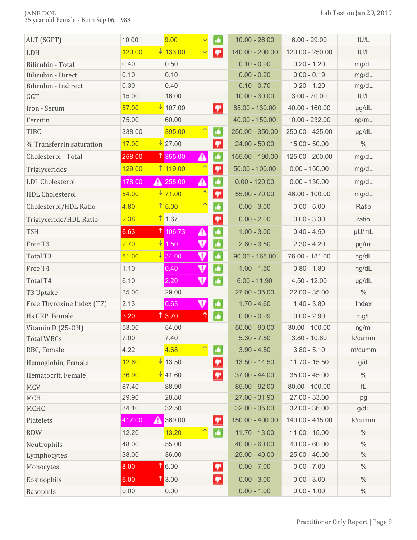JANE DOE 35 year old Female - Born Sep 06, 1983

| ALT (SGPT)                | 10.00  | 9.00                           |                                | $10.00 - 26.00$  | $6.00 - 29.00$   | U/L                    |
|---------------------------|--------|--------------------------------|--------------------------------|------------------|------------------|------------------------|
| LDH                       | 120.00 | $\sqrt{133.00}$                | $\mathbf{r}$                   | 140.00 - 200.00  | 120.00 - 250.00  | IUI/L                  |
| Bilirubin - Total         | 0.40   | 0.50                           |                                | $0.10 - 0.90$    | $0.20 - 1.20$    | mg/dL                  |
| Bilirubin - Direct        | 0.10   | 0.10                           |                                | $0.00 - 0.20$    | $0.00 - 0.19$    | mg/dL                  |
| Bilirubin - Indirect      | 0.30   | 0.40                           |                                | $0.10 - 0.70$    | $0.20 - 1.20$    | mg/dL                  |
| GGT                       | 15.00  | 16.00                          |                                | $10.00 - 30.00$  | $3.00 - 70.00$   | IUI/L                  |
| Iron - Serum              | 57.00  | $\frac{1}{2}$ 107.00           | $\mathbf{r}$                   | 85.00 - 130.00   | $40.00 - 160.00$ | µg/dL                  |
| Ferritin                  | 75.00  | 60.00                          |                                | $40.00 - 150.00$ | $10.00 - 232.00$ | ng/mL                  |
| TIBC                      | 338.00 | 395.00                         | $\overline{\mathbf{6}}$        | 250.00 - 350.00  | 250.00 - 425.00  | µg/dL                  |
| % Transferrin saturation  | 17.00  | $\frac{1}{2}$ 27.00            | $\overline{\mathbf{r}}$        | $24.00 - 50.00$  | $15.00 - 50.00$  | $\%$                   |
| Cholesterol - Total       | 258.00 | $\uparrow$ 355.00              | $\blacksquare$<br>А            | 155.00 - 190.00  | 125.00 - 200.00  | mg/dL                  |
| Triglycerides             | 129.00 | 119.00                         | $\overline{r}$                 | $50.00 - 100.00$ | $0.00 - 150.00$  | mg/dL                  |
| LDL Cholesterol           | 178.00 | $\triangle$ 258.00             | $\bullet$                      | $0.00 - 120.00$  | $0.00 - 130.00$  | mg/dL                  |
| <b>HDL</b> Cholesterol    | 54.00  | $\sqrt{71.00}$                 | $\overline{\mathbf{r}}$        | $55.00 - 70.00$  | 46.00 - 100.00   | mg/dL                  |
| Cholesterol/HDL Ratio     | 4.80   | $\uparrow$ 5.00                |                                | $0.00 - 3.00$    | $0.00 - 5.00$    | Ratio                  |
| Triglyceride/HDL Ratio    | 2.38   | $\uparrow$ 1.67                | $\overline{\boldsymbol{\tau}}$ | $0.00 - 2.00$    | $0.00 - 3.30$    | ratio                  |
| <b>TSH</b>                | 6.63   | 106.73                         |                                | $1.00 - 3.00$    | $0.40 - 4.50$    | µU/mL                  |
| Free T3                   | 2.70   | $\sqrt{\frac{1}{1.50}}$        | Ø<br>$\bm{v}$                  | $2.80 - 3.50$    | $2.30 - 4.20$    | pg/ml                  |
| Total T3                  | 81.00  | $\sqrt{34.00}$                 | $\mathbf{v}$<br>۱ń.            | $90.00 - 168.00$ | 76.00 - 181.00   | ng/dL                  |
| Free T4                   | 1.10   | $ 0.40\rangle$                 | $\overline{16}$<br>$\bm{v}$    | $1.00 - 1.50$    | $0.80 - 1.80$    | ng/dL                  |
| Total T4                  | 6.10   | 2.20                           | $\mathbf{v}$<br>ø              | $6.00 - 11.90$   | $4.50 - 12.00$   | µg/dL                  |
| T3 Uptake                 | 35.00  | 29.00                          |                                | $27.00 - 35.00$  | $22.00 - 35.00$  | $\frac{0}{0}$          |
| Free Thyroxine Index (T7) | 2.13   | 0.63                           | $\overline{1}$                 | $1.70 - 4.60$    | $1.40 - 3.80$    | Index                  |
| Hs CRP, Female            | 3.20   | $\uparrow$ 3.70                | O<br>↑                         | $0.00 - 0.99$    | $0.00 - 2.90$    | mg/L                   |
| Vitamin D (25-OH)         | 53.00  | 54.00                          |                                | $50.00 - 90.00$  | $30.00 - 100.00$ | ng/ml                  |
| <b>Total WBCs</b>         | 7.00   | 7.40                           |                                | $5.30 - 7.50$    | $3.80 - 10.80$   | k/cumm                 |
| RBC, Female               | 4.22   | 4.68                           | $\mathbf{L}$                   | $3.90 - 4.50$    | $3.80 - 5.10$    | m/cumm                 |
| Hemoglobin, Female        | 12.60  | $\sqrt{13.50}$                 | $\mathbf{r}$                   | $13.50 - 14.50$  | $11.70 - 15.50$  | g/dl                   |
| Hematocrit, Female        | 36.90  | $\frac{1}{2}$ 41.60            | $\mathbf{r}$                   | $37.00 - 44.00$  | $35.00 - 45.00$  | $\%$                   |
| <b>MCV</b>                | 87.40  | 88.90                          |                                | $85.00 - 92.00$  | $80.00 - 100.00$ | $\mathsf{f}\mathsf{L}$ |
| MCH                       | 29.90  | 28.80                          |                                | $27.00 - 31.90$  | 27.00 - 33.00    | pg                     |
| <b>MCHC</b>               | 34.10  | 32.50                          |                                | $32.00 - 35.00$  | $32.00 - 36.00$  | g/dL                   |
| Platelets                 | 417.00 | 369.00                         | $\bullet$                      | 150.00 - 400.00  | 140.00 - 415.00  | k/cumm                 |
| <b>RDW</b>                | 12.20  | 13.20                          | $\overline{L}$                 | $11.70 - 13.00$  | $11.00 - 15.00$  | $\%$                   |
| Neutrophils               | 48.00  | 55.00                          |                                | $40.00 - 60.00$  | $40.00 - 60.00$  | $\%$                   |
| Lymphocytes               | 38.00  | 36.00                          |                                | $25.00 - 40.00$  | $25.00 - 40.00$  | $\%$                   |
| Monocytes                 | 8.00   | $\textcolor{red}{\big }\,6.00$ | $\overline{\mathbf{r}}$        | $0.00 - 7.00$    | $0.00 - 7.00$    | $\%$                   |
| Eosinophils               | 6.00   | $\hat{T}$ 3.00                 | $\overline{\mathbf{r}}$        | $0.00 - 3.00$    | $0.00 - 3.00$    | $\%$                   |
| Basophils                 | 0.00   | 0.00                           |                                | $0.00 - 1.00$    | $0.00 - 1.00$    | $\%$                   |
|                           |        |                                |                                |                  |                  |                        |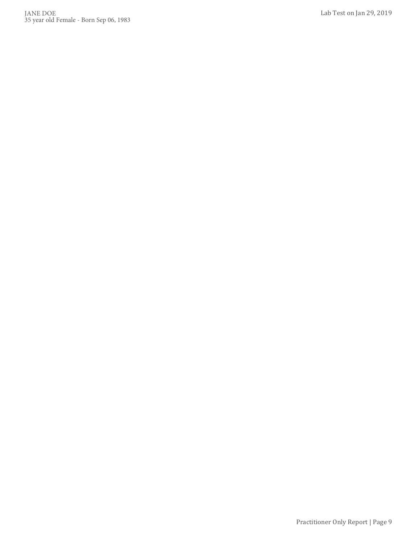JANE DOE 35 year old Female - Born Sep 06, 1983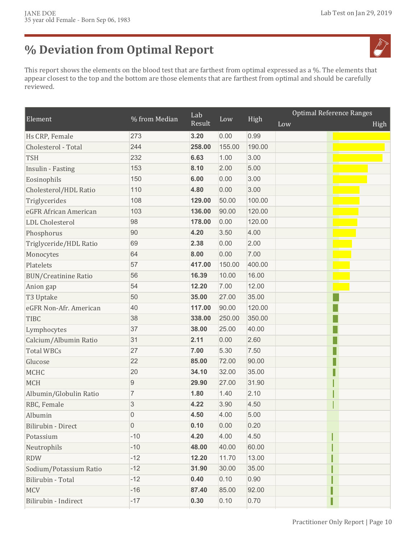# **% Deviation from Optimal Report**



This report shows the elements on the blood test that are farthest from optimal expressed as a %. The elements that appear closest to the top and the bottom are those elements that are farthest from optimal and should be carefully reviewed.

| Element                     | % from Median  | Lab    | Low    | High   |     | <b>Optimal Reference Ranges</b> |
|-----------------------------|----------------|--------|--------|--------|-----|---------------------------------|
|                             |                | Result |        |        | Low | High                            |
| Hs CRP, Female              | 273            | 3.20   | 0.00   | 0.99   |     |                                 |
| Cholesterol - Total         | 244            | 258.00 | 155.00 | 190.00 |     |                                 |
| <b>TSH</b>                  | 232            | 6.63   | 1.00   | 3.00   |     |                                 |
| Insulin - Fasting           | 153            | 8.10   | 2.00   | 5.00   |     |                                 |
| Eosinophils                 | 150            | 6.00   | 0.00   | 3.00   |     |                                 |
| Cholesterol/HDL Ratio       | 110            | 4.80   | 0.00   | 3.00   |     |                                 |
| Triglycerides               | 108            | 129.00 | 50.00  | 100.00 |     |                                 |
| eGFR African American       | 103            | 136.00 | 90.00  | 120.00 |     |                                 |
| <b>LDL</b> Cholesterol      | 98             | 178.00 | 0.00   | 120.00 |     |                                 |
| Phosphorus                  | 90             | 4.20   | 3.50   | 4.00   |     |                                 |
| Triglyceride/HDL Ratio      | 69             | 2.38   | 0.00   | 2.00   |     |                                 |
| Monocytes                   | 64             | 8.00   | 0.00   | 7.00   |     |                                 |
| Platelets                   | 57             | 417.00 | 150.00 | 400.00 |     |                                 |
| <b>BUN/Creatinine Ratio</b> | 56             | 16.39  | 10.00  | 16.00  |     |                                 |
| Anion gap                   | 54             | 12.20  | 7.00   | 12.00  |     |                                 |
| T3 Uptake                   | 50             | 35.00  | 27.00  | 35.00  |     |                                 |
| eGFR Non-Afr. American      | 40             | 117.00 | 90.00  | 120.00 |     |                                 |
| <b>TIBC</b>                 | 38             | 338.00 | 250.00 | 350.00 |     |                                 |
| Lymphocytes                 | 37             | 38.00  | 25.00  | 40.00  |     |                                 |
| Calcium/Albumin Ratio       | 31             | 2.11   | 0.00   | 2.60   |     |                                 |
| <b>Total WBCs</b>           | 27             | 7.00   | 5.30   | 7.50   |     |                                 |
| Glucose                     | 22             | 85.00  | 72.00  | 90.00  |     |                                 |
| <b>MCHC</b>                 | 20             | 34.10  | 32.00  | 35.00  |     |                                 |
| <b>MCH</b>                  | $9\,$          | 29.90  | 27.00  | 31.90  |     |                                 |
| Albumin/Globulin Ratio      | $\overline{7}$ | 1.80   | 1.40   | 2.10   |     |                                 |
| RBC, Female                 | $\mathfrak{S}$ | 4.22   | 3.90   | 4.50   |     |                                 |
| Albumin                     | $\cap$         | 4.50   | 4.00   | 5.00   |     |                                 |
| Bilirubin - Direct          | $\overline{0}$ | 0.10   | 0.00   | 0.20   |     |                                 |
| Potassium                   | $-10$          | 4.20   | 4.00   | 4.50   |     |                                 |
| Neutrophils                 | $-10$          | 48.00  | 40.00  | 60.00  |     |                                 |
| <b>RDW</b>                  | $-12$          | 12.20  | 11.70  | 13.00  |     |                                 |
| Sodium/Potassium Ratio      | $-12$          | 31.90  | 30.00  | 35.00  |     |                                 |
| Bilirubin - Total           | $-12$          | 0.40   | 0.10   | 0.90   |     |                                 |
| <b>MCV</b>                  | $-16$          | 87.40  | 85.00  | 92.00  |     |                                 |
| Bilirubin - Indirect        | $-17$          | 0.30   | 0.10   | 0.70   |     |                                 |
|                             |                |        |        |        |     |                                 |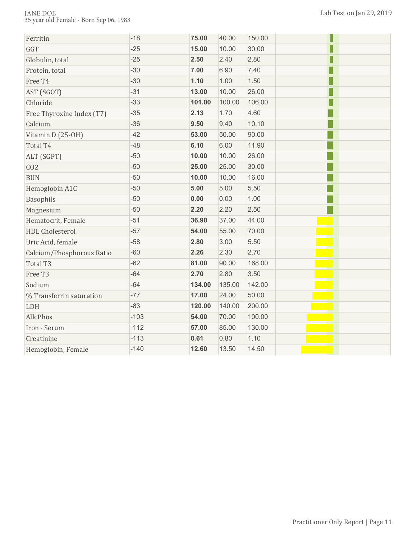JANE DOE 35 year old Female - Born Sep 06, 1983

| Ferritin                  | $-18$  | 75.00  | 40.00  | 150.00 |  |  |
|---------------------------|--------|--------|--------|--------|--|--|
| GGT                       | $-25$  | 15.00  | 10.00  | 30.00  |  |  |
| Globulin, total           | $-25$  | 2.50   | 2.40   | 2.80   |  |  |
| Protein, total            | $-30$  | 7.00   | 6.90   | 7.40   |  |  |
| Free T4                   | $-30$  | 1.10   | 1.00   | 1.50   |  |  |
| AST (SGOT)                | $-31$  | 13.00  | 10.00  | 26.00  |  |  |
| Chloride                  | $-33$  | 101.00 | 100.00 | 106.00 |  |  |
| Free Thyroxine Index (T7) | $-35$  | 2.13   | 1.70   | 4.60   |  |  |
| Calcium                   | $-36$  | 9.50   | 9.40   | 10.10  |  |  |
| Vitamin D (25-OH)         | $-42$  | 53.00  | 50.00  | 90.00  |  |  |
| Total T4                  | $-48$  | 6.10   | 6.00   | 11.90  |  |  |
| ALT (SGPT)                | $-50$  | 10.00  | 10.00  | 26.00  |  |  |
| CO <sub>2</sub>           | $-50$  | 25.00  | 25.00  | 30.00  |  |  |
| <b>BUN</b>                | $-50$  | 10.00  | 10.00  | 16.00  |  |  |
| Hemoglobin A1C            | $-50$  | 5.00   | 5.00   | 5.50   |  |  |
| Basophils                 | $-50$  | 0.00   | 0.00   | 1.00   |  |  |
| Magnesium                 | $-50$  | 2.20   | 2.20   | 2.50   |  |  |
| Hematocrit, Female        | $-51$  | 36.90  | 37.00  | 44.00  |  |  |
| <b>HDL</b> Cholesterol    | $-57$  | 54.00  | 55.00  | 70.00  |  |  |
| Uric Acid, female         | $-58$  | 2.80   | 3.00   | 5.50   |  |  |
| Calcium/Phosphorous Ratio | $-60$  | 2.26   | 2.30   | 2.70   |  |  |
| Total T3                  | $-62$  | 81.00  | 90.00  | 168.00 |  |  |
| Free T <sub>3</sub>       | $-64$  | 2.70   | 2.80   | 3.50   |  |  |
| Sodium                    | $-64$  | 134.00 | 135.00 | 142.00 |  |  |
| % Transferrin saturation  | $-77$  | 17.00  | 24.00  | 50.00  |  |  |
| LDH                       | $-83$  | 120.00 | 140.00 | 200.00 |  |  |
| Alk Phos                  | $-103$ | 54.00  | 70.00  | 100.00 |  |  |
| Iron - Serum              | $-112$ | 57.00  | 85.00  | 130.00 |  |  |
| Creatinine                | $-113$ | 0.61   | 0.80   | 1.10   |  |  |
| Hemoglobin, Female        | $-140$ | 12.60  | 13.50  | 14.50  |  |  |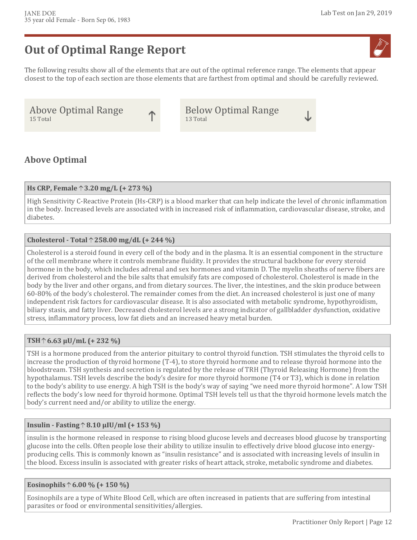# **Out of Optimal Range Report**

The following results show all of the elements that are out of the optimal reference range. The elements that appear closest to the top of each section are those elements that are farthest from optimal and should be carefully reviewed.

15 Total

Above Optimal Range  $\qquad \qquad$  Below Optimal Range 13 Total

# **Above Optimal**

# **Hs CRP, Female 3.20 mg/L (+ 273 %)**

High Sensitivity C-Reactive Protein (Hs-CRP) is a blood marker that can help indicate the level of chronic inflammation in the body. Increased levels are associated with in increased risk of inflammation, cardiovascular disease, stroke, and diabetes.

# **Cholesterol - Total 258.00 mg/dL (+ 244 %)**

Cholesterol is a steroid found in every cell of the body and in the plasma. It is an essential component in the structure of the cell membrane where it controls membrane fluidity. It provides the structural backbone for every steroid hormone in the body, which includes adrenal and sex hormones and vitamin D. The myelin sheaths of nerve fibers are derived from cholesterol and the bile salts that emulsify fats are composed of cholesterol. Cholesterol is made in the body by the liver and other organs, and from dietary sources. The liver, the intestines, and the skin produce between 60-80% of the body's cholesterol. The remainder comes from the diet. An increased cholesterol is just one of many independent risk factors for cardiovascular disease. It is also associated with metabolic syndrome, hypothyroidism, biliary stasis, and fatty liver. Decreased cholesterol levels are a strong indicator of gallbladder dysfunction, oxidative stress, inflammatory process, low fat diets and an increased heavy metal burden.

# **TSH 6.63 µU/mL (+ 232 %)**

TSH is a hormone produced from the anterior pituitary to control thyroid function. TSH stimulates the thyroid cells to increase the production of thyroid hormone (T-4), to store thyroid hormone and to release thyroid hormone into the bloodstream. TSH synthesis and secretion is regulated by the release of TRH (Thyroid Releasing Hormone) from the hypothalamus. TSH levels describe the body's desire for more thyroid hormone (T4 or T3), which is done in relation to the body's ability to use energy. A high TSH is the body's way of saying "we need more thyroid hormone". A low TSH reflects the body's low need for thyroid hormone. Optimal TSH levels tell us that the thyroid hormone levels match the body's current need and/or ability to utilize the energy.

# **Insulin - Fasting 8.10 µIU/ml (+ 153 %)**

insulin is the hormone released in response to rising blood glucose levels and decreases blood glucose by transporting glucose into the cells. Often people lose their ability to utilize insulin to effectively drive blood glucose into energyproducing cells. This is commonly known as "insulin resistance" and is associated with increasing levels of insulin in the blood. Excess insulin is associated with greater risks of heart attack, stroke, metabolic syndrome and diabetes.

# **Eosinophils 6.00 % (+ 150 %)**

Eosinophils are a type of White Blood Cell, which are often increased in patients that are suffering from intestinal parasites or food or environmental sensitivities/allergies.

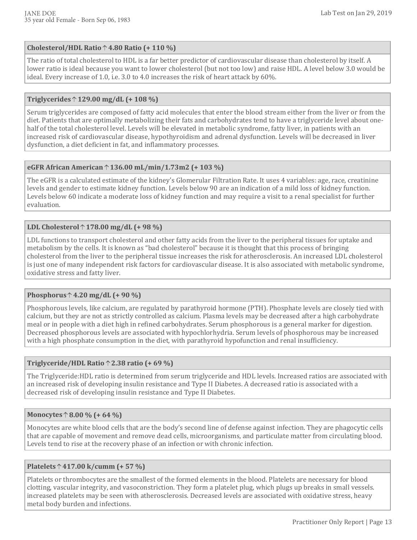# **Cholesterol/HDL Ratio 4.80 Ratio (+ 110 %)**

The ratio of total cholesterol to HDL is a far better predictor of cardiovascular disease than cholesterol by itself. A lower ratio is ideal because you want to lower cholesterol (but not too low) and raise HDL. A level below 3.0 would be ideal. Every increase of 1.0, i.e. 3.0 to 4.0 increases the risk of heart attack by 60%.

# **Triglycerides 129.00 mg/dL (+ 108 %)**

Serum triglycerides are composed of fatty acid molecules that enter the blood stream either from the liver or from the diet. Patients that are optimally metabolizing their fats and carbohydrates tend to have a triglyceride level about onehalf of the total cholesterol level. Levels will be elevated in metabolic syndrome, fatty liver, in patients with an increased risk of cardiovascular disease, hypothyroidism and adrenal dysfunction. Levels will be decreased in liver dysfunction, a diet deficient in fat, and inflammatory processes.

# **eGFR African American 136.00 mL/min/1.73m2 (+ 103 %)**

The eGFR is a calculated estimate of the kidney's Glomerular Filtration Rate. It uses 4 variables: age, race, creatinine levels and gender to estimate kidney function. Levels below 90 are an indication of a mild loss of kidney function. Levels below 60 indicate a moderate loss of kidney function and may require a visit to a renal specialist for further evaluation.

# **LDL Cholesterol 178.00 mg/dL (+ 98 %)**

LDL functions to transport cholesterol and other fatty acids from the liver to the peripheral tissues for uptake and metabolism by the cells. It is known as "bad cholesterol" because it is thought that this process of bringing cholesterol from the liver to the peripheral tissue increases the risk for atherosclerosis. An increased LDL cholesterol is just one of many independent risk factors for cardiovascular disease. It is also associated with metabolic syndrome, oxidative stress and fatty liver.

# **Phosphorus 4.20 mg/dL (+ 90 %)**

Phosphorous levels, like calcium, are regulated by parathyroid hormone (PTH). Phosphate levels are closely tied with calcium, but they are not as strictly controlled as calcium. Plasma levels may be decreased after a high carbohydrate meal or in people with a diet high in refined carbohydrates. Serum phosphorous is a general marker for digestion. Decreased phosphorous levels are associated with hypochlorhydria. Serum levels of phosphorous may be increased with a high phosphate consumption in the diet, with parathyroid hypofunction and renal insufficiency.

# **Triglyceride/HDL Ratio 2.38 ratio (+ 69 %)**

The Triglyceride:HDL ratio is determined from serum triglyceride and HDL levels. Increased ratios are associated with an increased risk of developing insulin resistance and Type II Diabetes. A decreased ratio is associated with a decreased risk of developing insulin resistance and Type II Diabetes.

# **Monocytes 8.00 % (+ 64 %)**

Monocytes are white blood cells that are the body's second line of defense against infection. They are phagocytic cells that are capable of movement and remove dead cells, microorganisms, and particulate matter from circulating blood. Levels tend to rise at the recovery phase of an infection or with chronic infection.

# **Platelets 417.00 k/cumm (+ 57 %)**

Platelets or thrombocytes are the smallest of the formed elements in the blood. Platelets are necessary for blood clotting, vascular integrity, and vasoconstriction. They form a platelet plug, which plugs up breaks in small vessels. increased platelets may be seen with atherosclerosis. Decreased levels are associated with oxidative stress, heavy metal body burden and infections.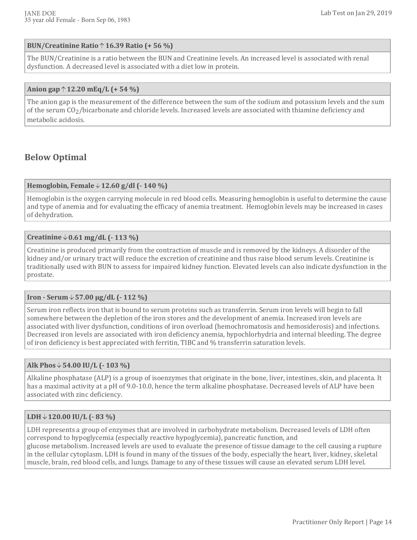# **BUN/Creatinine Ratio 16.39 Ratio (+ 56 %)**

The BUN/Creatinine is a ratio between the BUN and Creatinine levels. An increased level is associated with renal dysfunction. A decreased level is associated with a diet low in protein.

### **Anion gap 12.20 mEq/L (+ 54 %)**

The anion gap is the measurement of the difference between the sum of the sodium and potassium levels and the sum of the serum CO2/bicarbonate and chloride levels. Increased levels are associated with thiamine deficiency and metabolic acidosis.

# **Below Optimal**

#### **Hemoglobin, Female 12.60 g/dl (- 140 %)**

Hemoglobin is the oxygen carrying molecule in red blood cells. Measuring hemoglobin is useful to determine the cause and type of anemia and for evaluating the efficacy of anemia treatment. Hemoglobin levels may be increased in cases of dehydration.

# **Creatinine**  $\downarrow$  0.61 mg/dL ( $\cdot$  113 %)

Creatinine is produced primarily from the contraction of muscle and is removed by the kidneys. A disorder of the kidney and/or urinary tract will reduce the excretion of creatinine and thus raise blood serum levels. Creatinine is traditionally used with BUN to assess for impaired kidney function. Elevated levels can also indicate dysfunction in the prostate.

# **Iron - Serum 57.00 µg/dL (- 112 %)**

Serum iron reflects iron that is bound to serum proteins such as transferrin. Serum iron levels will begin to fall somewhere between the depletion of the iron stores and the development of anemia. Increased iron levels are associated with liver dysfunction, conditions of iron overload (hemochromatosis and hemosiderosis) and infections. Decreased iron levels are associated with iron deficiency anemia, hypochlorhydria and internal bleeding. The degree of iron deficiency is best appreciated with ferritin, TIBC and % transferrin saturation levels.

# **Alk Phos 54.00 IU/L (- 103 %)**

Alkaline phosphatase (ALP) is a group of isoenzymes that originate in the bone, liver, intestines, skin, and placenta. It has a maximal activity at a pH of 9.0-10.0, hence the term alkaline phosphatase. Decreased levels of ALP have been associated with zinc deficiency.

# **LDH 120.00 IU/L (- 83 %)**

LDH represents a group of enzymes that are involved in carbohydrate metabolism. Decreased levels of LDH often correspond to hypoglycemia (especially reactive hypoglycemia), pancreatic function, and glucose metabolism. Increased levels are used to evaluate the presence of tissue damage to the cell causing a rupture in the cellular cytoplasm. LDH is found in many of the tissues of the body, especially the heart, liver, kidney, skeletal muscle, brain, red blood cells, and lungs. Damage to any of these tissues will cause an elevated serum LDH level.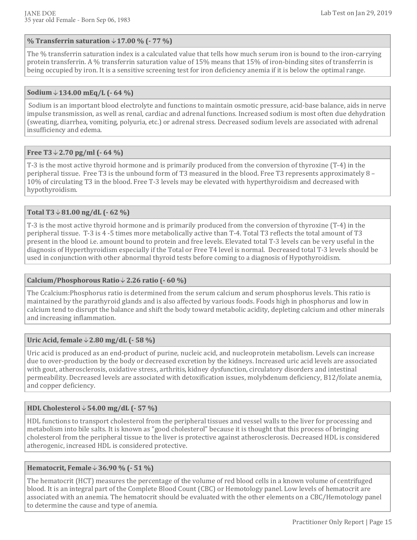# **% Transferrin saturation 17.00 % (- 77 %)**

The % transferrin saturation index is a calculated value that tells how much serum iron is bound to the iron-carrying protein transferrin. A % transferrin saturation value of 15% means that 15% of iron-binding sites of transferrin is being occupied by iron. It is a sensitive screening test for iron deficiency anemia if it is below the optimal range.

#### **Sodium 134.00 mEq/L (- 64 %)**

 Sodium is an important blood electrolyte and functions to maintain osmotic pressure, acid-base balance, aids in nerve impulse transmission, as well as renal, cardiac and adrenal functions. Increased sodium is most often due dehydration (sweating, diarrhea, vomiting, polyuria, etc.) or adrenal stress. Decreased sodium levels are associated with adrenal insufficiency and edema.

# **Free T3 2.70 pg/ml (- 64 %)**

T-3 is the most active thyroid hormone and is primarily produced from the conversion of thyroxine (T-4) in the peripheral tissue. Free T3 is the unbound form of T3 measured in the blood. Free T3 represents approximately 8 – 10% of circulating T3 in the blood. Free T-3 levels may be elevated with hyperthyroidism and decreased with hypothyroidism.

# **Total T3 81.00 ng/dL (- 62 %)**

T-3 is the most active thyroid hormone and is primarily produced from the conversion of thyroxine (T-4) in the peripheral tissue. T-3 is 4 -5 times more metabolically active than T-4. Total T3 reflects the total amount of T3 present in the blood i.e. amount bound to protein and free levels. Elevated total T-3 levels can be very useful in the diagnosis of Hyperthyroidism especially if the Total or Free T4 level is normal. Decreased total T-3 levels should be used in conjunction with other abnormal thyroid tests before coming to a diagnosis of Hypothyroidism.

# **Calcium/Phosphorous Ratio 2.26 ratio (- 60 %)**

The Ccalcium:Phosphorus ratio is determined from the serum calcium and serum phosphorus levels. This ratio is maintained by the parathyroid glands and is also affected by various foods. Foods high in phosphorus and low in calcium tend to disrupt the balance and shift the body toward metabolic acidity, depleting calcium and other minerals and increasing inflammation.

# **Uric Acid, female 2.80 mg/dL (- 58 %)**

Uric acid is produced as an end-product of purine, nucleic acid, and nucleoprotein metabolism. Levels can increase due to over-production by the body or decreased excretion by the kidneys. Increased uric acid levels are associated with gout, atherosclerosis, oxidative stress, arthritis, kidney dysfunction, circulatory disorders and intestinal permeability. Decreased levels are associated with detoxification issues, molybdenum deficiency, B12/folate anemia, and copper deficiency.

# **HDL Cholesterol 54.00 mg/dL (- 57 %)**

HDL functions to transport cholesterol from the peripheral tissues and vessel walls to the liver for processing and metabolism into bile salts. It is known as "good cholesterol" because it is thought that this process of bringing cholesterol from the peripheral tissue to the liver is protective against atherosclerosis. Decreased HDL is considered atherogenic, increased HDL is considered protective.

# **Hematocrit, Female 36.90 % (- 51 %)**

The hematocrit (HCT) measures the percentage of the volume of red blood cells in a known volume of centrifuged blood. It is an integral part of the Complete Blood Count (CBC) or Hemotology panel. Low levels of hematocrit are associated with an anemia. The hematocrit should be evaluated with the other elements on a CBC/Hemotology panel to determine the cause and type of anemia.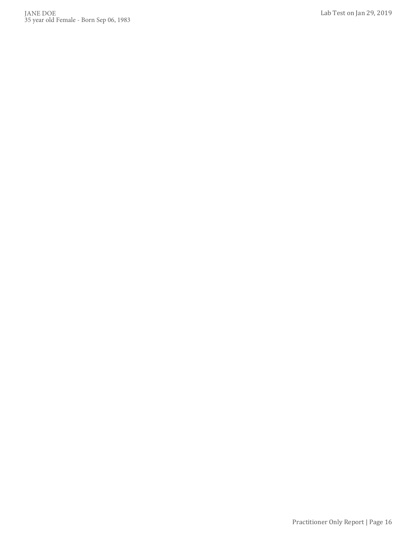JANE DOE 35 year old Female - Born Sep 06, 1983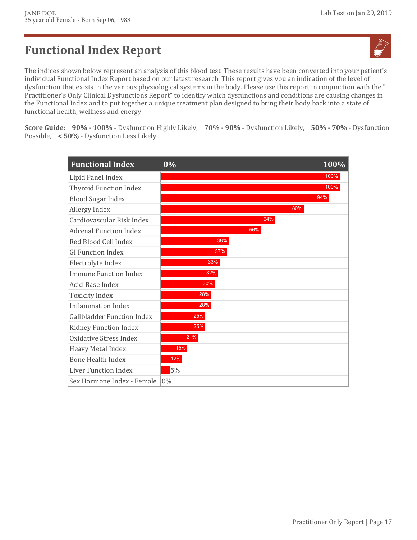# **Functional Index Report**



The indices shown below represent an analysis of this blood test. These results have been converted into your patient's individual Functional Index Report based on our latest research. This report gives you an indication of the level of dysfunction that exists in the various physiological systems in the body. Please use this report in conjunction with the " Practitioner's Only Clinical Dysfunctions Report" to identify which dysfunctions and conditions are causing changes in the Functional Index and to put together a unique treatment plan designed to bring their body back into a state of functional health, wellness and energy.

**Score Guide: 90% - 100%** - Dysfunction Highly Likely, **70% - 90%** - Dysfunction Likely, **50% - 70%** - Dysfunction Possible, **< 50%** - Dysfunction Less Likely.

| <b>Functional Index</b>       | $0\%$ | 100% |
|-------------------------------|-------|------|
| Lipid Panel Index             |       | 100% |
| Thyroid Function Index        |       | 100% |
| Blood Sugar Index             |       | 94%  |
| Allergy Index                 |       | 80%  |
| Cardiovascular Risk Index     |       | 64%  |
| <b>Adrenal Function Index</b> | 56%   |      |
| Red Blood Cell Index          | 38%   |      |
| GI Function Index             | 37%   |      |
| Electrolyte Index             | 33%   |      |
| <b>Immune Function Index</b>  | 32%   |      |
| Acid-Base Index               | 30%   |      |
| <b>Toxicity Index</b>         | 28%   |      |
| <b>Inflammation Index</b>     | 28%   |      |
| Gallbladder Function Index    | 25%   |      |
| Kidney Function Index         | 25%   |      |
| Oxidative Stress Index        | 21%   |      |
| Heavy Metal Index             | 15%   |      |
| Bone Health Index             | 12%   |      |
| Liver Function Index          | 5%    |      |
| Sex Hormone Index - Female 0% |       |      |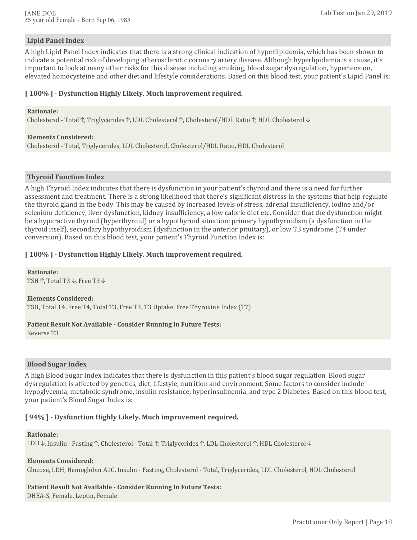# **Lipid Panel Index**

A high Lipid Panel Index indicates that there is a strong clinical indication of hyperlipidemia, which has been shown to indicate a potential risk of developing atherosclerotic coronary artery disease. Although hyperlipidemia is a cause, it's important to look at many other risks for this disease including smoking, blood sugar dysregulation, hypertension, elevated homocysteine and other diet and lifestyle considerations. Based on this blood test, your patient's Lipid Panel is:

# **[ 100% ] - Dysfunction Highly Likely. Much improvement required.**

#### **Rationale:**

Cholesterol - Total  $\uparrow$ , Triglycerides  $\uparrow$ , LDL Cholesterol  $\uparrow$ , Cholesterol/HDL Ratio  $\uparrow$ , HDL Cholesterol  $\downarrow$ 

#### **Elements Considered:**

Cholesterol - Total, Triglycerides, LDL Cholesterol, Cholesterol/HDL Ratio, HDL Cholesterol

# **Thyroid Function Index**

A high Thyroid Index indicates that there is dysfunction in your patient's thyroid and there is a need for further assessment and treatment. There is a strong likelihood that there's significant distress in the systems that help regulate the thyroid gland in the body. This may be caused by increased levels of stress, adrenal insufficiency, iodine and/or selenium deficiency, liver dysfunction, kidney insufficiency, a low calorie diet etc. Consider that the dysfunction might be a hyperactive thyroid (hyperthyroid) or a hypothyroid situation: primary hypothyroidism (a dysfunction in the thyroid itself), secondary hypothyroidism (dysfunction in the anterior pituitary), or low T3 syndrome (T4 under conversion). Based on this blood test, your patient's Thyroid Function Index is:

# **[ 100% ] - Dysfunction Highly Likely. Much improvement required.**

**Rationale:** TSH  $\Uparrow$ , Total T3  $\downarrow$ , Free T3  $\downarrow$ 

**Elements Considered:** TSH, Total T4, Free T4, Total T3, Free T3, T3 Uptake, Free Thyroxine Index (T7)

**Patient Result Not Available - Consider Running In Future Tests:** Reverse T3

#### **Blood Sugar Index**

A high Blood Sugar Index indicates that there is dysfunction in this patient's blood sugar regulation. Blood sugar dysregulation is affected by genetics, diet, lifestyle, nutrition and environment. Some factors to consider include hypoglycemia, metabolic syndrome, insulin resistance, hyperinsulinemia, and type 2 Diabetes. Based on this blood test, your patient's Blood Sugar Index is:

# **[ 94% ] - Dysfunction Highly Likely. Much improvement required.**

#### **Rationale:**

LDH  $\downarrow$ , Insulin - Fasting  $\uparrow$ , Cholesterol - Total  $\uparrow$ , Triglycerides  $\uparrow$ , LDL Cholesterol  $\uparrow$ , HDL Cholesterol  $\downarrow$ 

#### **Elements Considered:**

Glucose, LDH, Hemoglobin A1C, Insulin - Fasting, Cholesterol - Total, Triglycerides, LDL Cholesterol, HDL Cholesterol

**Patient Result Not Available - Consider Running In Future Tests:** DHEA-S, Female, Leptin, Female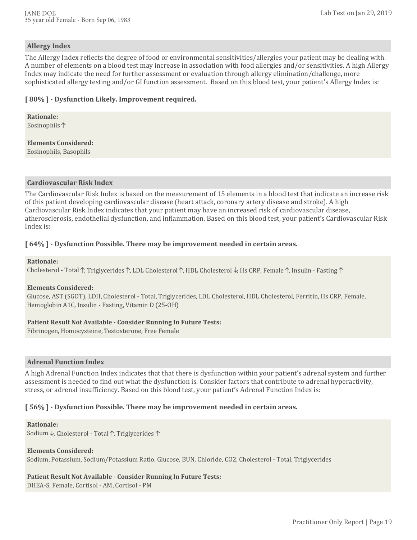# **Allergy Index**

The Allergy Index reflects the degree of food or environmental sensitivities/allergies your patient may be dealing with. A number of elements on a blood test may increase in association with food allergies and/or sensitivities. A high Allergy Index may indicate the need for further assessment or evaluation through allergy elimination/challenge, more sophisticated allergy testing and/or GI function assessment. Based on this blood test, your patient's Allergy Index is:

### **[ 80% ] - Dysfunction Likely. Improvement required.**

**Rationale:** Eosinophils <sup>+</sup>

**Elements Considered:** Eosinophils, Basophils

#### **Cardiovascular Risk Index**

The Cardiovascular Risk Index is based on the measurement of 15 elements in a blood test that indicate an increase risk of this patient developing cardiovascular disease (heart attack, coronary artery disease and stroke). A high Cardiovascular Risk Index indicates that your patient may have an increased risk of cardiovascular disease, atherosclerosis, endothelial dysfunction, and inflammation. Based on this blood test, your patient's Cardiovascular Risk Index is:

# **[ 64% ] - Dysfunction Possible. There may be improvement needed in certain areas.**

#### **Rationale:**

Cholesterol - Total  $\uparrow$ , Triglycerides  $\uparrow$ , LDL Cholesterol  $\uparrow$ , HDL Cholesterol  $\downarrow$ , Hs CRP, Female  $\uparrow$ , Insulin - Fasting  $\uparrow$ 

#### **Elements Considered:**

Glucose, AST (SGOT), LDH, Cholesterol - Total, Triglycerides, LDL Cholesterol, HDL Cholesterol, Ferritin, Hs CRP, Female, Hemoglobin A1C, Insulin - Fasting, Vitamin D (25-OH)

#### **Patient Result Not Available - Consider Running In Future Tests:**

Fibrinogen, Homocysteine, Testosterone, Free Female

# **Adrenal Function Index**

A high Adrenal Function Index indicates that that there is dysfunction within your patient's adrenal system and further assessment is needed to find out what the dysfunction is. Consider factors that contribute to adrenal hyperactivity, stress, or adrenal insufficiency. Based on this blood test, your patient's Adrenal Function Index is:

# **[ 56% ] - Dysfunction Possible. There may be improvement needed in certain areas.**

#### **Rationale:**

Sodium  $\downarrow$ , Cholesterol - Total  $\uparrow$ , Triglycerides  $\uparrow$ 

#### **Elements Considered:**

Sodium, Potassium, Sodium/Potassium Ratio, Glucose, BUN, Chloride, CO2, Cholesterol - Total, Triglycerides

# **Patient Result Not Available - Consider Running In Future Tests:**

DHEA-S, Female, Cortisol - AM, Cortisol - PM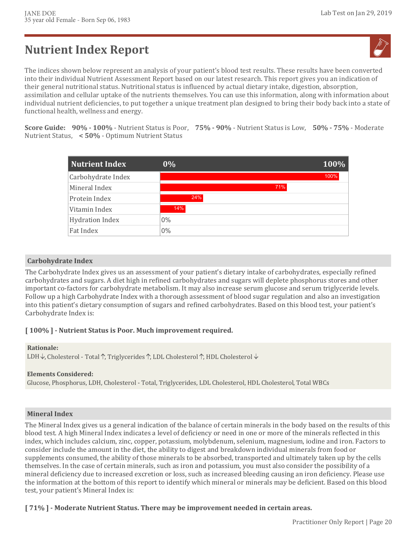# **Nutrient Index Report**



The indices shown below represent an analysis of your patient's blood test results. These results have been converted into their individual Nutrient Assessment Report based on our latest research. This report gives you an indication of their general nutritional status. Nutritional status is influenced by actual dietary intake, digestion, absorption, assimilation and cellular uptake of the nutrients themselves. You can use this information, along with information about individual nutrient deficiencies, to put together a unique treatment plan designed to bring their body back into a state of functional health, wellness and energy.

**Score Guide: 90% - 100%** - Nutrient Status is Poor, **75% - 90%** - Nutrient Status is Low, **50% - 75%** - Moderate Nutrient Status, **< 50%** - Optimum Nutrient Status

| Nutrient Index     | $0\%$ | 100% |
|--------------------|-------|------|
| Carbohydrate Index |       | 100% |
| Mineral Index      | 71%   |      |
| Protein Index      | 24%   |      |
| Vitamin Index      | 14%   |      |
| Hydration Index    | 0%    |      |
| <b>Fat Index</b>   | 0%    |      |

# **Carbohydrate Index**

The Carbohydrate Index gives us an assessment of your patient's dietary intake of carbohydrates, especially refined carbohydrates and sugars. A diet high in refined carbohydrates and sugars will deplete phosphorus stores and other important co-factors for carbohydrate metabolism. It may also increase serum glucose and serum triglyceride levels. Follow up a high Carbohydrate Index with a thorough assessment of blood sugar regulation and also an investigation into this patient's dietary consumption of sugars and refined carbohydrates. Based on this blood test, your patient's Carbohydrate Index is:

# **[ 100% ] - Nutrient Status is Poor. Much improvement required.**

# **Rationale:**

LDH↓, Cholesterol - Total ↑, Triglycerides ↑, LDL Cholesterol ↑, HDL Cholesterol ↓

# **Elements Considered:**

Glucose, Phosphorus, LDH, Cholesterol - Total, Triglycerides, LDL Cholesterol, HDL Cholesterol, Total WBCs

# **Mineral Index**

The Mineral Index gives us a general indication of the balance of certain minerals in the body based on the results of this blood test. A high Mineral Index indicates a level of deficiency or need in one or more of the minerals reflected in this index, which includes calcium, zinc, copper, potassium, molybdenum, selenium, magnesium, iodine and iron. Factors to consider include the amount in the diet, the ability to digest and breakdown individual minerals from food or supplements consumed, the ability of those minerals to be absorbed, transported and ultimately taken up by the cells themselves. In the case of certain minerals, such as iron and potassium, you must also consider the possibility of a mineral deficiency due to increased excretion or loss, such as increased bleeding causing an iron deficiency. Please use the information at the bottom of this report to identify which mineral or minerals may be deficient. Based on this blood test, your patient's Mineral Index is:

# **[ 71% ] - Moderate Nutrient Status. There may be improvement needed in certain areas.**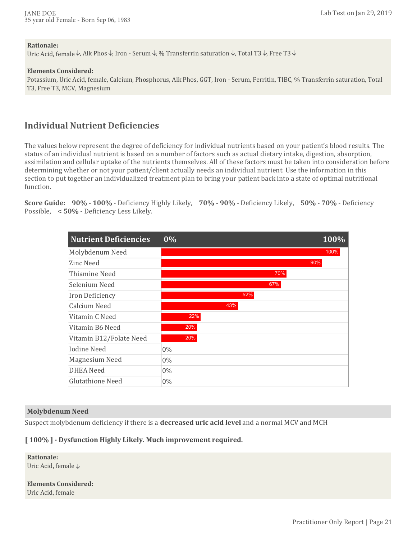#### **Rationale:**

Uric Acid, female  $\downarrow$ , Alk Phos  $\downarrow$ , Iron - Serum  $\downarrow$ , % Transferrin saturation  $\downarrow$ , Total T3  $\downarrow$ , Free T3  $\downarrow$ 

#### **Elements Considered:**

Potassium, Uric Acid, female, Calcium, Phosphorus, Alk Phos, GGT, Iron - Serum, Ferritin, TIBC, % Transferrin saturation, Total T3, Free T3, MCV, Magnesium

# **Individual Nutrient Deficiencies**

The values below represent the degree of deficiency for individual nutrients based on your patient's blood results. The status of an individual nutrient is based on a number of factors such as actual dietary intake, digestion, absorption, assimilation and cellular uptake of the nutrients themselves. All of these factors must be taken into consideration before determining whether or not your patient/client actually needs an individual nutrient. Use the information in this section to put together an individualized treatment plan to bring your patient back into a state of optimal nutritional function.

**Score Guide: 90% - 100%** - Deficiency Highly Likely, **70% - 90%** - Deficiency Likely, **50% - 70%** - Deficiency Possible, **< 50%** - Deficiency Less Likely.

| Nutrient Deficiencies   | $0\%$ | 100% |
|-------------------------|-------|------|
| Molybdenum Need         |       | 100% |
| Zinc Need               |       | 90%  |
| Thiamine Need           | 70%   |      |
| Selenium Need           | 67%   |      |
| Iron Deficiency         | 52%   |      |
| Calcium Need            | 43%   |      |
| Vitamin C Need          | 22%   |      |
| Vitamin B6 Need         | 20%   |      |
| Vitamin B12/Folate Need | 20%   |      |
| Iodine Need             | 0%    |      |
| Magnesium Need          | 0%    |      |
| DHEA Need               | 0%    |      |
| Glutathione Need        | 0%    |      |

#### **Molybdenum Need**

Suspect molybdenum deficiency if there is a **decreased uric acid level** and a normal MCV and MCH

# **[ 100% ] - Dysfunction Highly Likely. Much improvement required.**

**Rationale:** Uric Acid, female↓

#### **Elements Considered:** Uric Acid, female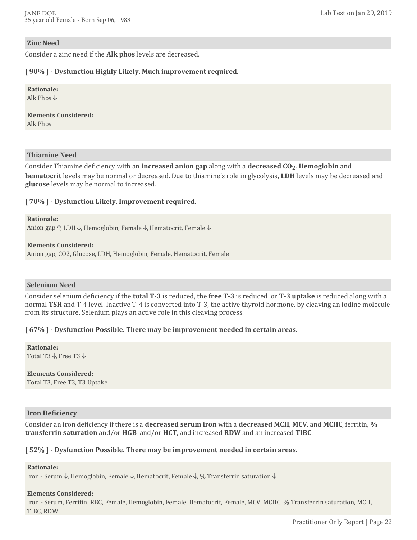### **Zinc Need**

Consider a zinc need if the **Alk phos** levels are decreased.

# **[ 90% ] - Dysfunction Highly Likely. Much improvement required.**

**Rationale:** Alk Phos  $\downarrow$ 

**Elements Considered:** Alk Phos

#### **Thiamine Need**

Consider Thiamine deficiency with an **increased anion gap** along with a **decreased CO2**. **Hemoglobin** and **hematocrit** levels may be normal or decreased. Due to thiamine's role in glycolysis, **LDH** levels may be decreased and **glucose** levels may be normal to increased.

#### **[ 70% ] - Dysfunction Likely. Improvement required.**

**Rationale:** Anion gap  $\uparrow$ , LDH  $\downarrow$ , Hemoglobin, Female  $\downarrow$ , Hematocrit, Female  $\downarrow$ 

**Elements Considered:** Anion gap, CO2, Glucose, LDH, Hemoglobin, Female, Hematocrit, Female

#### **Selenium Need**

Consider selenium deficiency if the **total T-3** is reduced, the **free T-3** is reduced or **T-3 uptake** is reduced along with a normal **TSH** and T-4 level. Inactive T-4 is converted into T-3, the active thyroid hormone, by cleaving an iodine molecule from its structure. Selenium plays an active role in this cleaving process.

# **[ 67% ] - Dysfunction Possible. There may be improvement needed in certain areas.**

**Rationale:** Total T3  $\downarrow$ , Free T3  $\downarrow$ 

**Elements Considered:** Total T3, Free T3, T3 Uptake

#### **Iron Deficiency**

Consider an iron deficiency if there is a **decreased serum iron** with a **decreased MCH**, **MCV**, and **MCHC**, ferritin, **% transferrin saturation** and/or **HGB** and/or **HCT**, and increased **RDW** and an increased **TIBC**.

# **[ 52% ] - Dysfunction Possible. There may be improvement needed in certain areas.**

#### **Rationale:**

Iron - Serum  $\downarrow$ , Hemoglobin, Female  $\downarrow$ , Hematocrit, Female  $\downarrow$ , % Transferrin saturation  $\downarrow$ 

#### **Elements Considered:**

Iron - Serum, Ferritin, RBC, Female, Hemoglobin, Female, Hematocrit, Female, MCV, MCHC, % Transferrin saturation, MCH, TIBC, RDW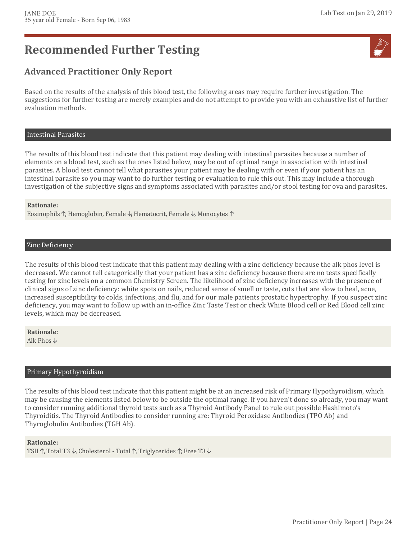# **Recommended Further Testing**



# **Advanced Practitioner Only Report**

Based on the results of the analysis of this blood test, the following areas may require further investigation. The suggestions for further testing are merely examples and do not attempt to provide you with an exhaustive list of further evaluation methods.

#### Intestinal Parasites

The results of this blood test indicate that this patient may dealing with intestinal parasites because a number of elements on a blood test, such as the ones listed below, may be out of optimal range in association with intestinal parasites. A blood test cannot tell what parasites your patient may be dealing with or even if your patient has an intestinal parasite so you may want to do further testing or evaluation to rule this out. This may include a thorough investigation of the subjective signs and symptoms associated with parasites and/or stool testing for ova and parasites.

#### **Rationale:**

Eosinophils 1, Hemoglobin, Female  $\downarrow$ , Hematocrit, Female  $\downarrow$ , Monocytes 1

#### Zinc Deficiency

The results of this blood test indicate that this patient may dealing with a zinc deficiency because the alk phos level is decreased. We cannot tell categorically that your patient has a zinc deficiency because there are no tests specifically testing for zinc levels on a common Chemistry Screen. The likelihood of zinc deficiency increases with the presence of clinical signs of zinc deficiency: white spots on nails, reduced sense of smell or taste, cuts that are slow to heal, acne, increased susceptibility to colds, infections, and flu, and for our male patients prostatic hypertrophy. If you suspect zinc deficiency, you may want to follow up with an in-office Zinc Taste Test or check White Blood cell or Red Blood cell zinc levels, which may be decreased.

**Rationale:**

Alk Phos  $\downarrow$ 

#### Primary Hypothyroidism

The results of this blood test indicate that this patient might be at an increased risk of Primary Hypothyroidism, which may be causing the elements listed below to be outside the optimal range. If you haven't done so already, you may want to consider running additional thyroid tests such as a Thyroid Antibody Panel to rule out possible Hashimoto's Thyroiditis. The Thyroid Antibodies to consider running are: Thyroid Peroxidase Antibodies (TPO Ab) and Thyroglobulin Antibodies (TGH Ab).

#### **Rationale:**

TSH  $\uparrow$ , Total T3  $\downarrow$ , Cholesterol - Total  $\uparrow$ , Triglycerides  $\uparrow$ , Free T3  $\downarrow$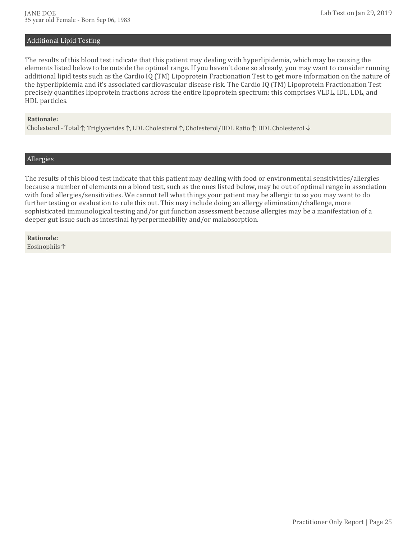# Additional Lipid Testing

The results of this blood test indicate that this patient may dealing with hyperlipidemia, which may be causing the elements listed below to be outside the optimal range. If you haven't done so already, you may want to consider running additional lipid tests such as the Cardio IQ (TM) Lipoprotein Fractionation Test to get more information on the nature of the hyperlipidemia and it's associated cardiovascular disease risk. The Cardio IQ (TM) Lipoprotein Fractionation Test precisely quantifies lipoprotein fractions across the entire lipoprotein spectrum; this comprises VLDL, IDL, LDL, and HDL particles.

#### **Rationale:**

Cholesterol - Total  $\uparrow$ , Triglycerides  $\uparrow$ , LDL Cholesterol  $\uparrow$ , Cholesterol/HDL Ratio  $\uparrow$ , HDL Cholesterol  $\downarrow$ 

# Allergies

The results of this blood test indicate that this patient may dealing with food or environmental sensitivities/allergies because a number of elements on a blood test, such as the ones listed below, may be out of optimal range in association with food allergies/sensitivities. We cannot tell what things your patient may be allergic to so you may want to do further testing or evaluation to rule this out. This may include doing an allergy elimination/challenge, more sophisticated immunological testing and/or gut function assessment because allergies may be a manifestation of a deeper gut issue such as intestinal hyperpermeability and/or malabsorption.

**Rationale:**

Eosinophils <sup>+</sup>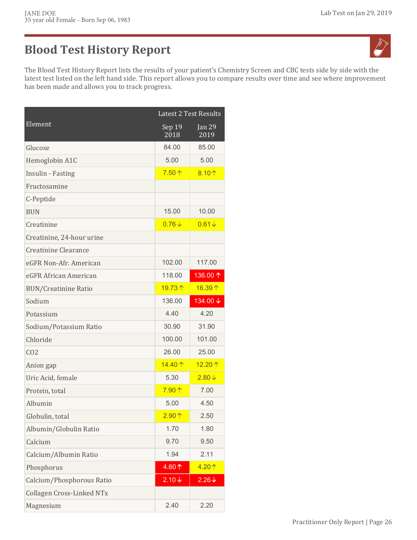# **Blood Test History Report**



The Blood Test History Report lists the results of your patient's Chemistry Screen and CBC tests side by side with the latest test listed on the left hand side. This report allows you to compare results over time and see where improvement has been made and allows you to track progress.

|                             | Latest 2 Test Results |                     |
|-----------------------------|-----------------------|---------------------|
| Element                     | Sep 19<br>2018        | Jan $29$<br>2019    |
| Glucose                     | 84.00                 | 85.00               |
| Hemoglobin A1C              | 5.00                  | 5.00                |
| Insulin - Fasting           | 7.50个                 | $8.10$ <sup>↑</sup> |
| Fructosamine                |                       |                     |
| C-Peptide                   |                       |                     |
| <b>BUN</b>                  | 15.00                 | 10.00               |
| Creatinine                  | $0.76 \; \downarrow$  | $0.61 \downarrow$   |
| Creatinine, 24-hour urine   |                       |                     |
| Creatinine Clearance        |                       |                     |
| eGFR Non-Afr. American      | 102.00                | 117.00              |
| eGFR African American       | 118.00                | 136.00 个            |
| <b>BUN/Creatinine Ratio</b> | 19.73 ↑               | 16.39个              |
| Sodium                      | 136.00                | 134.00 ↓            |
| Potassium                   | 4.40                  | 4.20                |
| Sodium/Potassium Ratio      | 30.90                 | 31.90               |
| Chloride                    | 100.00                | 101.00              |
| CO <sub>2</sub>             | 26.00                 | 25.00               |
| Anion gap                   | 14.40 ↑               | 12.20 ↑             |
| Uric Acid, female           | 5.30                  | $2.80 \downarrow$   |
| Protein, total              | 7.90个                 | 7.00                |
| Albumin                     | 5.00                  | 4.50                |
| Globulin, total             | 2.90个                 | 2.50                |
| Albumin/Globulin Ratio      | 1.70                  | 1.80                |
| Calcium                     | 9.70                  | 9.50                |
| Calcium/Albumin Ratio       | 1.94                  | 2.11                |
| Phosphorus                  | 4.60 个                | 4.20 ተ              |
| Calcium/Phosphorous Ratio   | $2.10 +$              | $2.26 \downarrow$   |
| Collagen Cross-Linked NTx   |                       |                     |
| Magnesium                   | 2.40                  | 2.20                |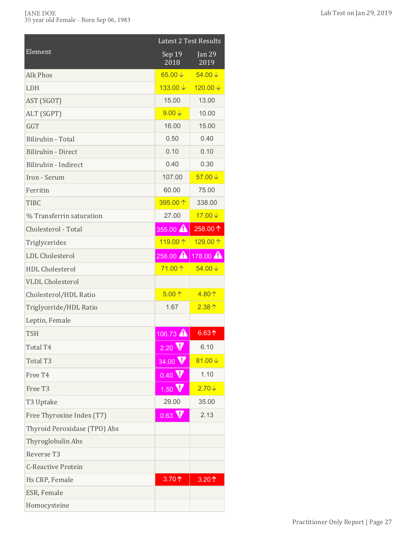|                              | Latest 2 Test Results        |                                     |  |
|------------------------------|------------------------------|-------------------------------------|--|
| Element                      | Sep $19$<br>2018             | Jan 29<br>2019                      |  |
| <b>Alk Phos</b>              | 65.00 $\downarrow$           | $54.00 \downarrow$                  |  |
| LDH                          | 133.00 ↓                     | 120.00 ↓                            |  |
| AST (SGOT)                   | 15.00                        | 13.00                               |  |
| ALT (SGPT)                   | $9.00 \tarrow$               | 10.00                               |  |
| GGT                          | 16.00                        | 15.00                               |  |
| Bilirubin - Total            | 0.50                         | 0.40                                |  |
| Bilirubin - Direct           | 0.10                         | 0.10                                |  |
| Bilirubin - Indirect         | 0.40                         | 0.30                                |  |
| Iron - Serum                 | 107.00                       | 57.00 ↓                             |  |
| Ferritin                     | 60.00                        | 75.00                               |  |
| <b>TIBC</b>                  | 395.00 个                     | 338.00                              |  |
| % Transferrin saturation     | 27.00                        | 17.00 ↓                             |  |
| Cholesterol - Total          | $355.00$ $\triangle$         | 258.00 个                            |  |
| Triglycerides                | 119.00 ↑                     | 129.00 ↑                            |  |
| LDL Cholesterol              | 258.00                       | 178.00                              |  |
| <b>HDL</b> Cholesterol       | 71.00 个                      | 54.00 ↓                             |  |
| <b>VLDL</b> Cholesterol      |                              |                                     |  |
| Cholesterol/HDL Ratio        | 5.00个                        | 4.80个                               |  |
| Triglyceride/HDL Ratio       | 1.67                         | 2.38个                               |  |
| Leptin, Female               |                              |                                     |  |
| <b>TSH</b>                   | 106.73                       | $6.63 \text{ } \textup{\textbf{t}}$ |  |
| Total T4                     | 2.20 $\overline{\mathbf{V}}$ | 6.10                                |  |
| Total T3                     | 34.00 V                      | 81.00 $\downarrow$                  |  |
| Free T4                      | $0.40$ V                     | 1.10                                |  |
| Free T3                      | 1.50 $\mathbf{\nabla}$       | $2.70 \downarrow$                   |  |
| T3 Uptake                    | 29.00                        | 35.00                               |  |
| Free Thyroxine Index (T7)    | $0.63$ V                     | 2.13                                |  |
| Thyroid Peroxidase (TPO) Abs |                              |                                     |  |
| Thyroglobulin Abs            |                              |                                     |  |
| Reverse T3                   |                              |                                     |  |
| <b>C-Reactive Protein</b>    |                              |                                     |  |
| Hs CRP, Female               | 3.70个                        | $3.20 \text{ } \text{ }^{\text{*}}$ |  |
| ESR, Female                  |                              |                                     |  |
| Homocysteine                 |                              |                                     |  |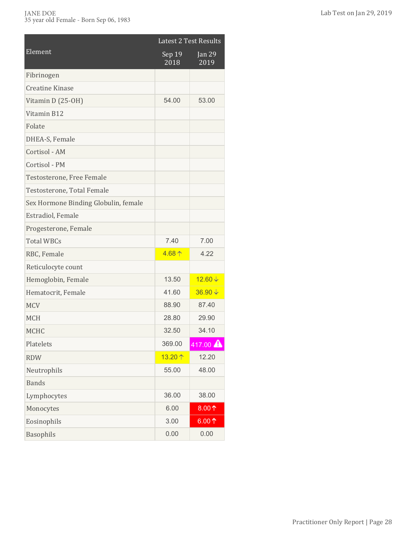#### JANE DOE 35 year old Female - Born Sep 06, 1983

|                                      | Latest 2 Test Results |                                            |  |  |
|--------------------------------------|-----------------------|--------------------------------------------|--|--|
| Element                              | Sep 19<br>2018        | Jan 29<br>2019                             |  |  |
| Fibrinogen                           |                       |                                            |  |  |
| Creatine Kinase                      |                       |                                            |  |  |
| Vitamin D (25-OH)                    | 54.00                 | 53.00                                      |  |  |
| Vitamin B12                          |                       |                                            |  |  |
| Folate                               |                       |                                            |  |  |
| DHEA-S, Female                       |                       |                                            |  |  |
| Cortisol - AM                        |                       |                                            |  |  |
| Cortisol - PM                        |                       |                                            |  |  |
| Testosterone, Free Female            |                       |                                            |  |  |
| Testosterone, Total Female           |                       |                                            |  |  |
| Sex Hormone Binding Globulin, female |                       |                                            |  |  |
| Estradiol, Female                    |                       |                                            |  |  |
| Progesterone, Female                 |                       |                                            |  |  |
| <b>Total WBCs</b>                    | 7.40                  | 7.00                                       |  |  |
| RBC, Female                          | 4.68个                 | 4.22                                       |  |  |
| Reticulocyte count                   |                       |                                            |  |  |
| Hemoglobin, Female                   | 13.50                 | 12.60 ↓                                    |  |  |
| Hematocrit, Female                   | 41.60                 | 36.90 ↓                                    |  |  |
| MCV                                  | 88.90                 | 87.40                                      |  |  |
| <b>MCH</b>                           | 28.80                 | 29.90                                      |  |  |
| <b>MCHC</b>                          | 32.50                 | 34.10                                      |  |  |
| Platelets                            | 369.00                | 417.00                                     |  |  |
| <b>RDW</b>                           | 13.20 个               | 12.20                                      |  |  |
| Neutrophils                          | 55.00                 | 48.00                                      |  |  |
| <b>Bands</b>                         |                       |                                            |  |  |
| Lymphocytes                          | 36.00                 | 38.00                                      |  |  |
| Monocytes                            | 6.00                  | $8.00 \text{ } \text{ }^{\text{}}\text{ }$ |  |  |
| Eosinophils                          | 3.00                  | $6.00 \text{ } \text{ }^{\text{}}$         |  |  |
| Basophils                            | 0.00                  | 0.00                                       |  |  |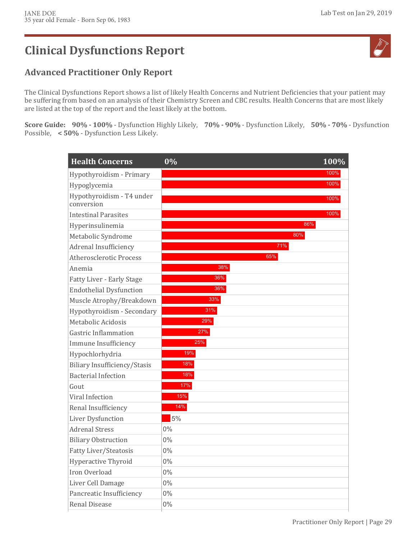# **Clinical Dysfunctions Report**



# **Advanced Practitioner Only Report**

The Clinical Dysfunctions Report shows a list of likely Health Concerns and Nutrient Deficiencies that your patient may be suffering from based on an analysis of their Chemistry Screen and CBC results. Health Concerns that are most likely are listed at the top of the report and the least likely at the bottom.

**Score Guide: 90% - 100%** - Dysfunction Highly Likely, **70% - 90%** - Dysfunction Likely, **50% - 70%** - Dysfunction Possible, **< 50%** - Dysfunction Less Likely.

| <b>Health Concerns</b>                  | $0\%$ | 100% |
|-----------------------------------------|-------|------|
| Hypothyroidism - Primary                |       | 100% |
| Hypoglycemia                            |       | 100% |
| Hypothyroidism - T4 under<br>conversion |       | 100% |
| Intestinal Parasites                    |       | 100% |
| Hyperinsulinemia                        |       | 86%  |
| Metabolic Syndrome                      |       | 80%  |
| Adrenal Insufficiency                   |       | 71%  |
| Atherosclerotic Process                 | 65%   |      |
| Anemia                                  | 38%   |      |
| Fatty Liver - Early Stage               | 36%   |      |
| Endothelial Dysfunction                 | 36%   |      |
| Muscle Atrophy/Breakdown                | 33%   |      |
| Hypothyroidism - Secondary              | 31%   |      |
| Metabolic Acidosis                      | 29%   |      |
| Gastric Inflammation                    | 27%   |      |
| Immune Insufficiency                    | 25%   |      |
| Hypochlorhydria                         | 19%   |      |
| Biliary Insufficiency/Stasis            | 18%   |      |
| Bacterial Infection                     | 18%   |      |
| Gout                                    | 17%   |      |
| Viral Infection                         | 15%   |      |
| Renal Insufficiency                     | 14%   |      |
| Liver Dysfunction                       | 5%    |      |
| Adrenal Stress                          | $0\%$ |      |
| <b>Biliary Obstruction</b>              | $0\%$ |      |
| Fatty Liver/Steatosis                   | $0\%$ |      |
| Hyperactive Thyroid                     | $0\%$ |      |
| Iron Overload                           | $0\%$ |      |
| Liver Cell Damage                       | $0\%$ |      |
| Pancreatic Insufficiency                | $0\%$ |      |
| Renal Disease                           | $0\%$ |      |
|                                         |       |      |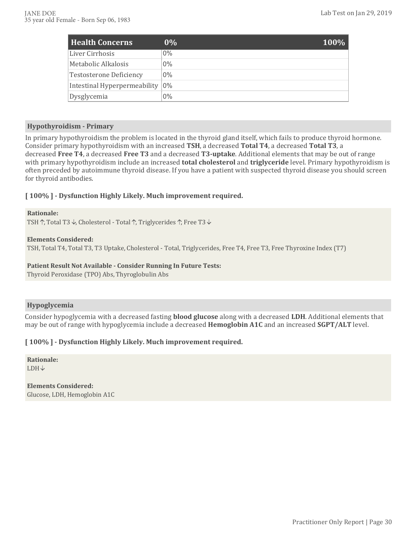| <b>Health Concerns</b>          | 0%  | 100% |
|---------------------------------|-----|------|
| Liver Cirrhosis                 | 10% |      |
| Metabolic Alkalosis             | 0%  |      |
| Testosterone Deficiency         | 0%  |      |
| Intestinal Hyperpermeability 0% |     |      |
| Dysglycemia                     | 0%  |      |

#### **Hypothyroidism - Primary**

In primary hypothyroidism the problem is located in the thyroid gland itself, which fails to produce thyroid hormone. Consider primary hypothyroidism with an increased **TSH**, a decreased **Total T4**, a decreased **Total T3**, a decreased **Free T4**, a decreased **Free T3** and a decreased **T3-uptake**. Additional elements that may be out of range with primary hypothyroidism include an increased **total cholesterol** and **triglyceride** level. Primary hypothyroidism is often preceded by autoimmune thyroid disease. If you have a patient with suspected thyroid disease you should screen for thyroid antibodies.

# **[ 100% ] - Dysfunction Highly Likely. Much improvement required.**

**Rationale:**

TSH  $\uparrow$ , Total T3  $\downarrow$ , Cholesterol - Total  $\uparrow$ , Triglycerides  $\uparrow$ , Free T3  $\downarrow$ 

#### **Elements Considered:**

TSH, Total T4, Total T3, T3 Uptake, Cholesterol - Total, Triglycerides, Free T4, Free T3, Free Thyroxine Index (T7)

#### **Patient Result Not Available - Consider Running In Future Tests:**

Thyroid Peroxidase (TPO) Abs, Thyroglobulin Abs

#### **Hypoglycemia**

Consider hypoglycemia with a decreased fasting **blood glucose** along with a decreased **LDH**. Additional elements that may be out of range with hypoglycemia include a decreased **Hemoglobin A1C** and an increased **SGPT/ALT** level.

# **[ 100% ] - Dysfunction Highly Likely. Much improvement required.**

**Rationale:** LDH

**Elements Considered:** Glucose, LDH, Hemoglobin A1C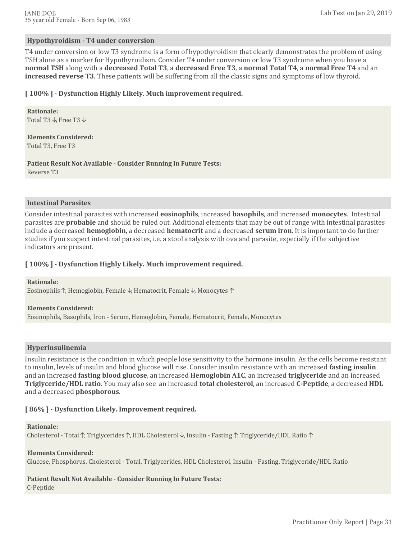### **Hypothyroidism - T4 under conversion**

T4 under conversion or low T3 syndrome is a form of hypothyroidism that clearly demonstrates the problem of using TSH alone as a marker for Hypothyroidism. Consider T4 under conversion or low T3 syndrome when you have a **normal TSH** along with a **decreased Total T3**, a **decreased Free T3**, a **normal Total T4**, a **normal Free T4** and an **increased reverse T3**. These patients will be suffering from all the classic signs and symptoms of low thyroid.

### **[ 100% ] - Dysfunction Highly Likely. Much improvement required.**

**Rationale:** Total T3  $\downarrow$ , Free T3  $\downarrow$ 

**Elements Considered:** Total T3, Free T3

**Patient Result Not Available - Consider Running In Future Tests:** Reverse T3

#### **Intestinal Parasites**

Consider intestinal parasites with increased **eosinophils**, increased **basophils**, and increased **monocytes**. Intestinal parasites are **probable** and should be ruled out. Additional elements that may be out of range with intestinal parasites include a decreased **hemoglobin**, a decreased **hematocrit** and a decreased **serum iron**. It is important to do further studies if you suspect intestinal parasites, i.e. a stool analysis with ova and parasite, especially if the subjective indicators are present.

#### **[ 100% ] - Dysfunction Highly Likely. Much improvement required.**

#### **Rationale:**

Eosinophils  $\uparrow$ , Hemoglobin, Female  $\downarrow$ , Hematocrit, Female  $\downarrow$ , Monocytes  $\uparrow$ 

#### **Elements Considered:**

Eosinophils, Basophils, Iron - Serum, Hemoglobin, Female, Hematocrit, Female, Monocytes

#### **Hyperinsulinemia**

Insulin resistance is the condition in which people lose sensitivity to the hormone insulin. As the cells become resistant to insulin, levels of insulin and blood glucose will rise. Consider insulin resistance with an increased **fasting insulin** and an increased **fasting blood glucose**, an increased **Hemoglobin A1C**, an increased **triglyceride** and an increased **Triglyceride/HDL ratio.** You may also see an increased **total cholesterol**, an increased **C-Peptide**, a decreased **HDL** and a decreased **phosphorous**.

#### **[ 86% ] - Dysfunction Likely. Improvement required.**

#### **Rationale:**

Cholesterol - Total  $\uparrow$ , Triglycerides  $\uparrow$ , HDL Cholesterol  $\downarrow$ , Insulin - Fasting  $\uparrow$ , Triglyceride/HDL Ratio  $\uparrow$ 

#### **Elements Considered:**

Glucose, Phosphorus, Cholesterol - Total, Triglycerides, HDL Cholesterol, Insulin - Fasting, Triglyceride/HDL Ratio

# **Patient Result Not Available - Consider Running In Future Tests:**

C-Peptide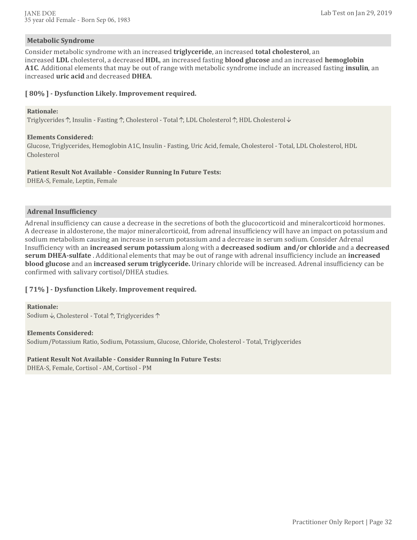#### **Metabolic Syndrome**

Consider metabolic syndrome with an increased **triglyceride**, an increased **total cholesterol**, an increased **LDL** cholesterol, a decreased **HDL**, an increased fasting **blood glucose** and an increased **hemoglobin A1C**. Additional elements that may be out of range with metabolic syndrome include an increased fasting **insulin**, an increased **uric acid** and decreased **DHEA**.

### **[ 80% ] - Dysfunction Likely. Improvement required.**

#### **Rationale:**

Triglycerides  $\uparrow$ , Insulin - Fasting  $\uparrow$ , Cholesterol - Total  $\uparrow$ , LDL Cholesterol  $\uparrow$ , HDL Cholesterol  $\downarrow$ 

#### **Elements Considered:**

Glucose, Triglycerides, Hemoglobin A1C, Insulin - Fasting, Uric Acid, female, Cholesterol - Total, LDL Cholesterol, HDL Cholesterol

#### **Patient Result Not Available - Consider Running In Future Tests:**

DHEA-S, Female, Leptin, Female

#### **Adrenal Insufficiency**

Adrenal insufficiency can cause a decrease in the secretions of both the glucocorticoid and mineralcorticoid hormones. A decrease in aldosterone, the major mineralcorticoid, from adrenal insufficiency will have an impact on potassium and sodium metabolism causing an increase in serum potassium and a decrease in serum sodium. Consider Adrenal Insufficiency with an **increased serum potassium** along with a **decreased sodium and/or chloride** and a **decreased serum DHEA-sulfate** . Additional elements that may be out of range with adrenal insufficiency include an **increased blood glucose** and an **increased serum triglyceride.** Urinary chloride will be increased. Adrenal insufficiency can be confirmed with salivary cortisol/DHEA studies.

#### **[ 71% ] - Dysfunction Likely. Improvement required.**

**Rationale:** Sodium  $\downarrow$ , Cholesterol - Total  $\uparrow$ , Triglycerides  $\uparrow$ 

**Elements Considered:** Sodium/Potassium Ratio, Sodium, Potassium, Glucose, Chloride, Cholesterol - Total, Triglycerides

#### **Patient Result Not Available - Consider Running In Future Tests:**

DHEA-S, Female, Cortisol - AM, Cortisol - PM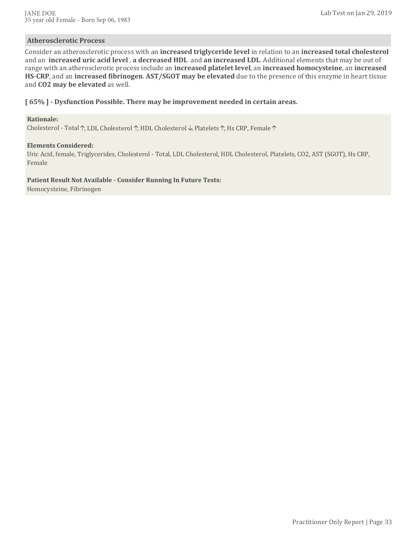#### **Atherosclerotic Process**

Consider an atherosclerotic process with an **increased triglyceride level** in relation to an **increased total cholesterol** and an **increased uric acid level** , **a decreased HDL** and **an increased LDL**. Additional elements that may be out of range with an atherosclerotic process include an **increased platelet level**, an **increased homocysteine**, an **increased HS-CRP**, and an **increased fibrinogen**. **AST/SGOT may be elevated** due to the presence of this enzyme in heart tissue and **CO2 may be elevated** as well.

#### **[ 65% ] - Dysfunction Possible. There may be improvement needed in certain areas.**

#### **Rationale:**

Cholesterol - Total <sup>+</sup>, LDL Cholesterol <sup>+</sup>, HDL Cholesterol ↓, Platelets <sup>+</sup>, Hs CRP, Female <sup>+</sup>

#### **Elements Considered:**

Uric Acid, female, Triglycerides, Cholesterol - Total, LDL Cholesterol, HDL Cholesterol, Platelets, CO2, AST (SGOT), Hs CRP, Female

#### **Patient Result Not Available - Consider Running In Future Tests:**

Homocysteine, Fibrinogen